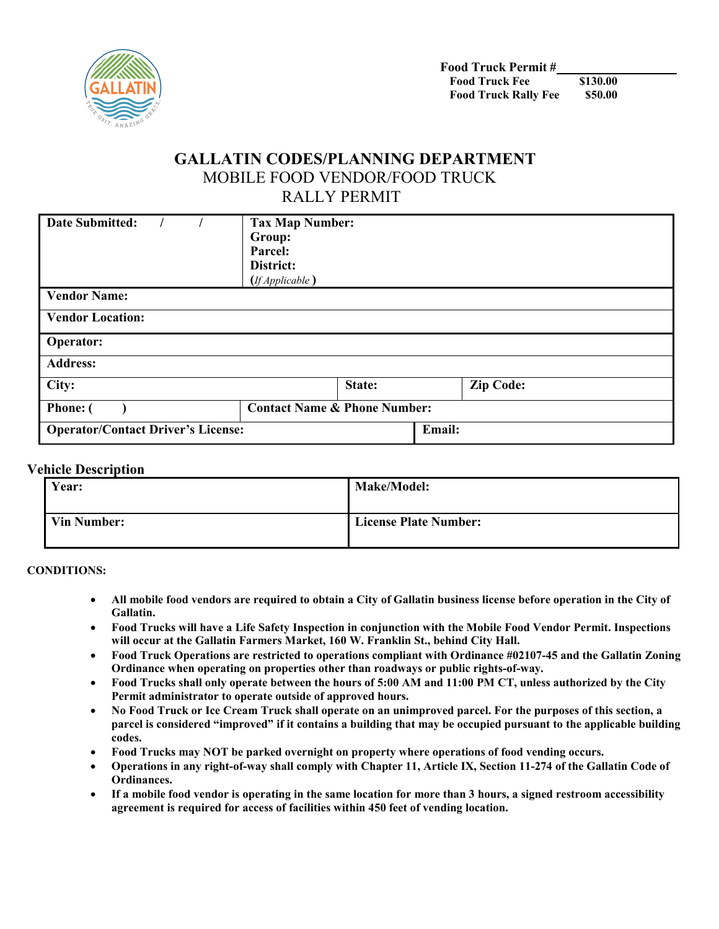

# **GALLATIN CODES/PLANNING DEPARTMENT** MOBILE FOOD VENDOR/FOOD TRUCK RALLY PERMIT

| <b>Date Submitted:</b>                    | <b>Tax Map Number:</b><br>Group:<br>Parcel:<br>District:<br>(If Applicable) |        |        |                  |
|-------------------------------------------|-----------------------------------------------------------------------------|--------|--------|------------------|
| <b>Vendor Name:</b>                       |                                                                             |        |        |                  |
| <b>Vendor Location:</b>                   |                                                                             |        |        |                  |
| <b>Operator:</b>                          |                                                                             |        |        |                  |
| <b>Address:</b>                           |                                                                             |        |        |                  |
| City:                                     |                                                                             | State: |        | <b>Zip Code:</b> |
| <b>Phone:</b>                             | <b>Contact Name &amp; Phone Number:</b>                                     |        |        |                  |
| <b>Operator/Contact Driver's License:</b> |                                                                             |        | Email: |                  |

#### **Vehicle Description**

| Year:              | <b>Make/Model:</b>           |
|--------------------|------------------------------|
| <b>Vin Number:</b> | <b>License Plate Number:</b> |

**CONDITIONS:** 

- **All mobile food vendors are required to obtain a City of Gallatin business license before operation in the City of Gallatin.**
- **Food Trucks will have a Life Safety Inspection in conjunction with the Mobile Food Vendor Permit. Inspections will occur at the Gallatin Farmers Market, 160 W. Franklin St., behind City Hall.**
- **Food Truck Operations are restricted to operations compliant with Ordinance #02107-45 and the Gallatin Zoning Ordinance when operating on properties other than roadways or public rights-of-way.**
- **Food Trucks shall only operate between the hours of 5:00 AM and 11:00 PM CT, unless authorized by the City Permit administrator to operate outside of approved hours.**
- **No Food Truck or Ice Cream Truck shall operate on an unimproved parcel. For the purposes of this section, a parcel is considered "improved" if it contains a building that may be occupied pursuant to the applicable building codes.**
- **Food Trucks may NOT be parked overnight on property where operations of food vending occurs.**
- **Operations in any right-of-way shall comply with Chapter 11, Article IX, Section 11-274 of the Gallatin Code of Ordinances.**
- **If a mobile food vendor is operating in the same location for more than 3 hours, a signed restroom accessibility agreement is required for access of facilities within 450 feet of vending location.**